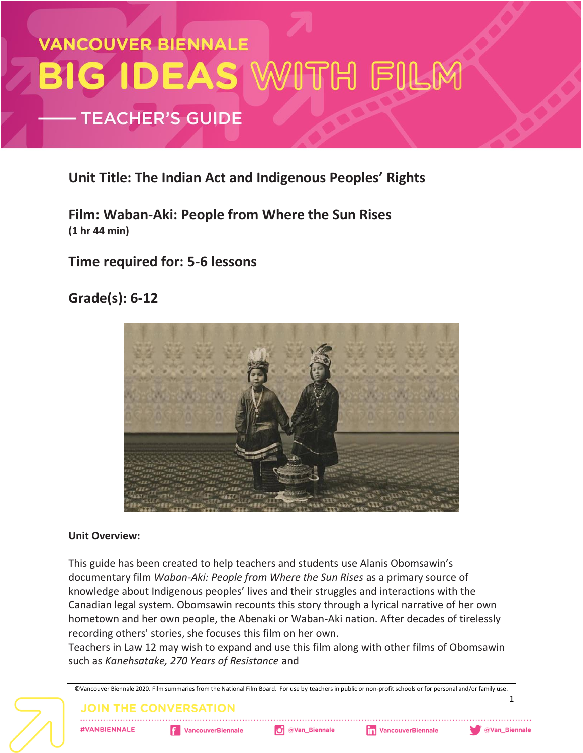# **VANCOUVER BIENNALE** BIG IDEAS WITH FILM **TEACHER'S GUIDE**

#### **Unit Title: The Indian Act and Indigenous Peoples' Rights**

**Film: Waban-Aki: People from Where the Sun Rises (1 hr 44 min)**

#### **Time required for: 5-6 lessons**

### **Grade(s): 6-12**



#### **Unit Overview:**

This guide has been created to help teachers and students use Alanis Obomsawin's documentary film *Waban-Aki: People from Where the Sun Rises* as a primary source of knowledge about Indigenous peoples' lives and their struggles and interactions with the Canadian legal system. Obomsawin recounts this story through a lyrical narrative of her own hometown and her own people, the Abenaki or Waban-Aki nation. After decades of tirelessly recording others' stories, she focuses this film on her own.

Teachers in Law 12 may wish to expand and use this film along with other films of Obomsawin such as *Kanehsatake, 270 Years of Resistance* and

©Vancouver Biennale 2020. Film summaries from the National Film Board. For use by teachers in public or non-profit schools or for personal and/or family use. **1 JOIN THE CONVERSATION** O @Van\_Biennale **#VANBIENNALE F** VancouverBiennale **Th** VancouverBiennale **OVan\_Biennale**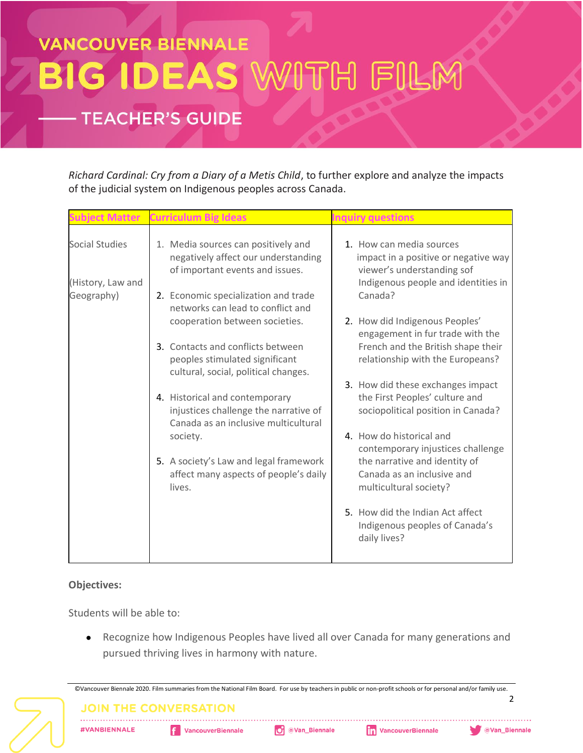# **VANCOUVER BIENNALE** G IDEAS WITH FILM BII

### **TEACHER'S GUIDE**

*Richard Cardinal: Cry from a Diary of a Metis Child*, to further explore and analyze the impacts of the judicial system on Indigenous peoples across Canada.

|                                                          | Curriculum Big Ideas                                                                                                                                                                       |                                                                                                                                                        |
|----------------------------------------------------------|--------------------------------------------------------------------------------------------------------------------------------------------------------------------------------------------|--------------------------------------------------------------------------------------------------------------------------------------------------------|
| <b>Social Studies</b><br>(History, Law and<br>Geography) | 1. Media sources can positively and<br>negatively affect our understanding<br>of important events and issues.<br>2. Economic specialization and trade<br>networks can lead to conflict and | 1. How can media sources<br>impact in a positive or negative way<br>viewer's understanding sof<br>Indigenous people and identities in<br>Canada?       |
|                                                          | cooperation between societies.<br>3. Contacts and conflicts between<br>peoples stimulated significant<br>cultural, social, political changes.                                              | 2. How did Indigenous Peoples'<br>engagement in fur trade with the<br>French and the British shape their<br>relationship with the Europeans?           |
|                                                          | 4. Historical and contemporary<br>injustices challenge the narrative of<br>Canada as an inclusive multicultural                                                                            | 3. How did these exchanges impact<br>the First Peoples' culture and<br>sociopolitical position in Canada?                                              |
|                                                          | society.<br>5. A society's Law and legal framework<br>affect many aspects of people's daily<br>lives.                                                                                      | 4. How do historical and<br>contemporary injustices challenge<br>the narrative and identity of<br>Canada as an inclusive and<br>multicultural society? |
|                                                          |                                                                                                                                                                                            | 5. How did the Indian Act affect<br>Indigenous peoples of Canada's<br>daily lives?                                                                     |

#### **Objectives:**

Students will be able to:

● Recognize how Indigenous Peoples have lived all over Canada for many generations and pursued thriving lives in harmony with nature.

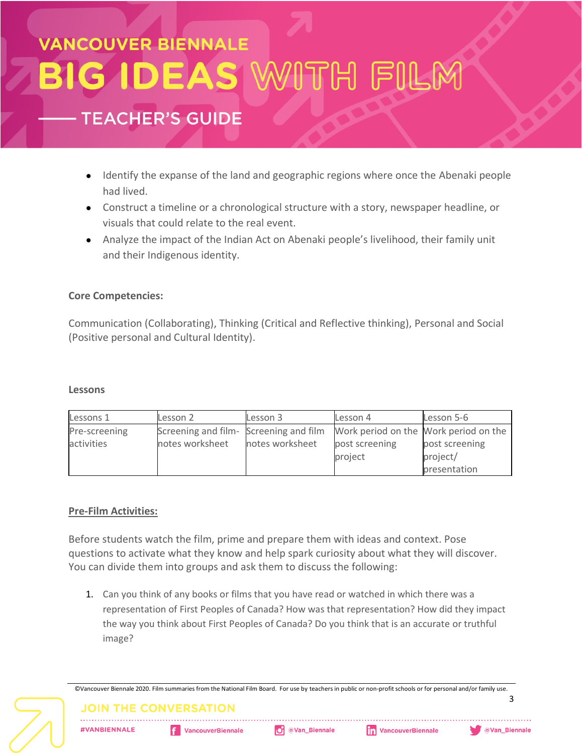## **VANCOUVER BIENNALE GIDEAS W** VITH FILM

### **TEACHER'S GUIDE**

- Identify the expanse of the land and geographic regions where once the Abenaki people had lived.
- Construct a timeline or a chronological structure with a story, newspaper headline, or visuals that could relate to the real event.
- Analyze the impact of the Indian Act on Abenaki people's livelihood, their family unit and their Indigenous identity.

#### **Core Competencies:**

Communication (Collaborating), Thinking (Critical and Reflective thinking), Personal and Social (Positive personal and Cultural Identity).

#### **Lessons**

| Lessons 1     | Lesson 2                               | Lesson 3        | Lesson 4                              | Lesson 5-6     |
|---------------|----------------------------------------|-----------------|---------------------------------------|----------------|
| Pre-screening | Screening and film- Screening and film |                 | Work period on the Work period on the |                |
| activities    | notes worksheet                        | notes worksheet | post screening                        | post screening |
|               |                                        |                 | project                               | project/       |
|               |                                        |                 |                                       | presentation   |

#### **Pre-Film Activities:**

Before students watch the film, prime and prepare them with ideas and context. Pose questions to activate what they know and help spark curiosity about what they will discover. You can divide them into groups and ask them to discuss the following:

1. Can you think of any books or films that you have read or watched in which there was a representation of First Peoples of Canada? How was that representation? How did they impact the way you think about First Peoples of Canada? Do you think that is an accurate or truthful image?

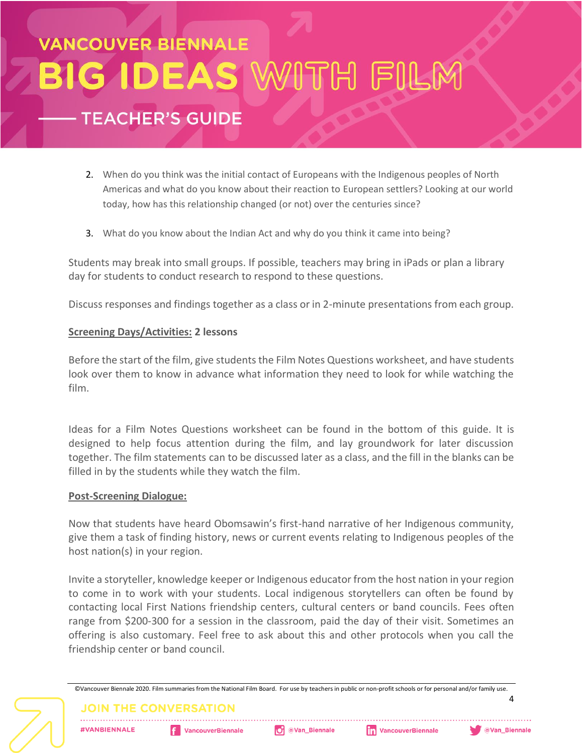## VANCOUVER BIENNALE TH FILI BIG IDEAS W **TEACHER'S GUIDE**

- 2. When do you think was the initial contact of Europeans with the Indigenous peoples of North Americas and what do you know about their reaction to European settlers? Looking at our world today, how has this relationship changed (or not) over the centuries since?
- 3. What do you know about the Indian Act and why do you think it came into being?

Students may break into small groups. If possible, teachers may bring in iPads or plan a library day for students to conduct research to respond to these questions.

Discuss responses and findings together as a class or in 2-minute presentations from each group.

#### **Screening Days/Activities: 2 lessons**

Before the start of the film, give students the Film Notes Questions worksheet, and have students look over them to know in advance what information they need to look for while watching the film.

Ideas for a Film Notes Questions worksheet can be found in the bottom of this guide. It is designed to help focus attention during the film, and lay groundwork for later discussion together. The film statements can to be discussed later as a class, and the fill in the blanks can be filled in by the students while they watch the film.

#### **Post-Screening Dialogue:**

Now that students have heard Obomsawin's first-hand narrative of her Indigenous community, give them a task of finding history, news or current events relating to Indigenous peoples of the host nation(s) in your region.

Invite a storyteller, knowledge keeper or Indigenous educator from the host nation in your region to come in to work with your students. Local indigenous storytellers can often be found by contacting local First Nations friendship centers, cultural centers or band councils. Fees often range from \$200-300 for a session in the classroom, paid the day of their visit. Sometimes an offering is also customary. Feel free to ask about this and other protocols when you call the friendship center or band council.

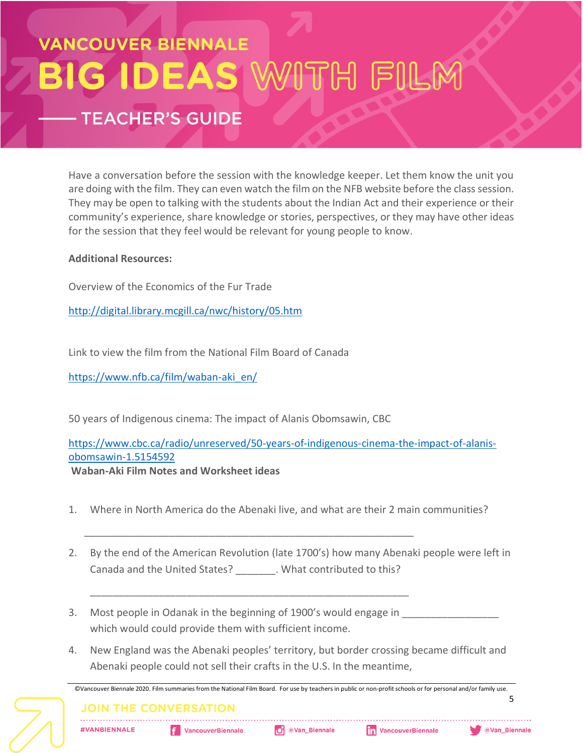# **VANCOUVER BIENNALE** BIG IDEAS WITH FILM **TEACHER'S GUIDE**

Have a conversation before the session with the knowledge keeper. Let them know the unit you are doing with the film. They can even watch the film on the NFB website before the class session. They may be open to talking with the students about the Indian Act and their experience or their community's experience, share knowledge or stories, perspectives, or they may have other ideas for the session that they feel would be relevant for young people to know.

#### **Additional Resources:**

Overview of the Economics of the Fur Trade

<http://digital.library.mcgill.ca/nwc/history/05.htm>

Link to view the film from the National Film Board of Canada

[https://www.nfb.ca/film/waban-aki\\_en/](https://www.nfb.ca/film/waban-aki_en/)

50 years of Indigenous cinema: The impact of Alanis Obomsawin, CBC

\_\_\_\_\_\_\_\_\_\_\_\_\_\_\_\_\_\_\_\_\_\_\_\_\_\_\_\_\_\_\_\_\_\_\_\_\_\_\_\_\_\_\_\_\_\_\_\_\_\_\_\_\_\_\_\_\_\_

\_\_\_\_\_\_\_\_\_\_\_\_\_\_\_\_\_\_\_\_\_\_\_\_\_\_\_\_\_\_\_\_\_\_\_\_\_\_\_\_\_\_\_\_\_\_\_\_\_\_\_\_\_\_\_\_

[https://www.cbc.ca/radio/unreserved/50-years-of-indigenous-cinema-the-impact-of-alanis](https://www.cbc.ca/radio/unreserved/50-years-of-indigenous-cinema-the-impact-of-alanis-obomsawin-1.5154592)[obomsawin-1.5154592](https://www.cbc.ca/radio/unreserved/50-years-of-indigenous-cinema-the-impact-of-alanis-obomsawin-1.5154592)

**Waban-Aki Film Notes and Worksheet ideas** 

- 1. Where in North America do the Abenaki live, and what are their 2 main communities?
- 2. By the end of the American Revolution (late 1700's) how many Abenaki people were left in Canada and the United States? Music What contributed to this?
- 3. Most people in Odanak in the beginning of 1900's would engage in which would could provide them with sufficient income.
- 4. New England was the Abenaki peoples' territory, but border crossing became difficult and Abenaki people could not sell their crafts in the U.S. In the meantime,

©Vancouver Biennale 2020. Film summaries from the National Film Board. For use by teachers in public or non-profit schools or for personal and/or family use. **5 JOIN THE CONVERSATION** O @Van\_Biennale **fin** VancouverBiennale **#VANBIENNALE F** VancouverBiennale **Wan\_Biennale**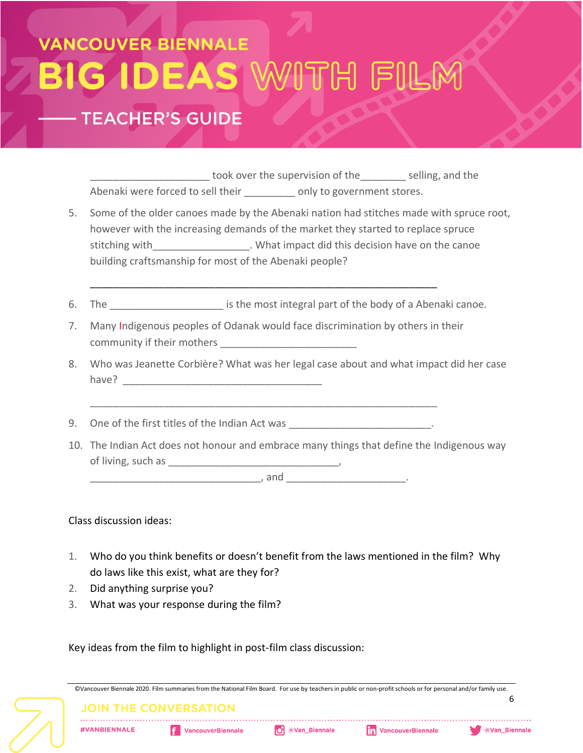# **VANCOUVER BIENNALE** G IDEAS '

### **TEACHER'S GUIDE**

\_\_\_\_\_\_\_\_\_\_\_\_\_\_\_\_\_\_\_\_\_ took over the supervision of the\_\_\_\_\_\_\_\_ selling, and the Abenaki were forced to sell their \_\_\_\_\_\_\_\_\_ only to government stores.

- 5. Some of the older canoes made by the Abenaki nation had stitches made with spruce root, however with the increasing demands of the market they started to replace spruce stitching with\_\_\_\_\_\_\_\_\_\_\_\_\_\_\_\_\_\_\_. What impact did this decision have on the canoe building craftsmanship for most of the Abenaki people?
- 6. The same is the most integral part of the body of a Abenaki canoe.
- 7. Many Indigenous peoples of Odanak would face discrimination by others in their community if their mothers \_\_\_\_\_\_\_\_\_\_\_\_\_\_\_\_\_\_\_\_\_\_\_\_

\_\_\_\_\_\_\_\_\_\_\_\_\_\_\_\_\_\_\_\_\_\_\_\_\_\_\_\_\_\_\_\_\_\_\_\_\_\_\_\_\_\_\_\_\_\_\_\_\_\_\_\_\_\_\_\_\_\_\_\_\_

\_\_\_\_\_\_\_\_\_\_\_\_\_\_\_\_\_\_\_\_\_\_\_\_\_\_\_\_\_\_\_\_\_\_\_\_\_\_\_\_\_\_\_\_\_\_\_\_\_\_\_\_\_\_\_\_\_\_\_\_\_

- 8. Who was Jeanette Corbière? What was her legal case about and what impact did her case have?
- 9. One of the first titles of the Indian Act was \_\_\_\_\_\_\_\_\_\_\_\_\_\_\_\_\_\_\_\_\_\_\_\_.
- 10. The Indian Act does not honour and embrace many things that define the Indigenous way of living, such as \_\_\_\_\_\_\_\_\_\_\_\_\_\_\_\_\_\_\_\_\_\_\_\_\_\_\_\_\_\_,

\_\_\_\_\_\_\_\_\_\_\_\_\_\_\_\_\_\_\_\_\_\_\_\_\_\_\_\_\_\_, and \_\_\_\_\_\_\_\_\_\_\_\_\_\_\_\_\_\_\_\_\_.

Class discussion ideas:

- 1. Who do you think benefits or doesn't benefit from the laws mentioned in the film? Why do laws like this exist, what are they for?
- 2. Did anything surprise you?
- 3. What was your response during the film?

Key ideas from the film to highlight in post-film class discussion:

|  |                              | ©Vancouver Biennale 2020. Film summaries from the National Film Board. For use by teachers in public or non-profit schools or for personal and/or family use. |                 |                              |                      |
|--|------------------------------|---------------------------------------------------------------------------------------------------------------------------------------------------------------|-----------------|------------------------------|----------------------|
|  | <b>JOIN THE CONVERSATION</b> |                                                                                                                                                               |                 |                              |                      |
|  | <b>#VANBIENNALE</b>          | <b>f</b> VancouverBiennale                                                                                                                                    | O @Van_Biennale | <b>The VancouverBiennale</b> | <b>OVan_Biennale</b> |